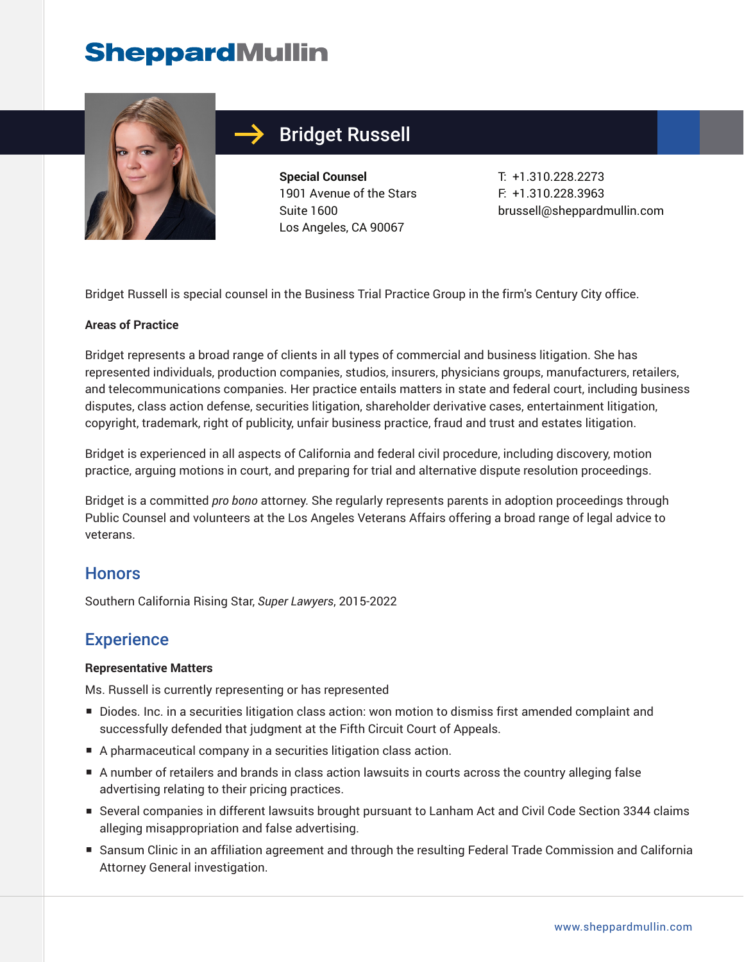# **SheppardMullin**



## Bridget Russell

**Special Counsel** 1901 Avenue of the Stars Suite 1600 Los Angeles, CA 90067

T: +1.310.228.2273 F: +1.310.228.3963 brussell@sheppardmullin.com

Bridget Russell is special counsel in the Business Trial Practice Group in the firm's Century City office.

#### **Areas of Practice**

Bridget represents a broad range of clients in all types of commercial and business litigation. She has represented individuals, production companies, studios, insurers, physicians groups, manufacturers, retailers, and telecommunications companies. Her practice entails matters in state and federal court, including business disputes, class action defense, securities litigation, shareholder derivative cases, entertainment litigation, copyright, trademark, right of publicity, unfair business practice, fraud and trust and estates litigation.

Bridget is experienced in all aspects of California and federal civil procedure, including discovery, motion practice, arguing motions in court, and preparing for trial and alternative dispute resolution proceedings.

Bridget is a committed *pro bono* attorney. She regularly represents parents in adoption proceedings through Public Counsel and volunteers at the Los Angeles Veterans Affairs offering a broad range of legal advice to veterans.

#### **Honors**

Southern California Rising Star, *Super Lawyers*, 2015-2022

### **Experience**

#### **Representative Matters**

Ms. Russell is currently representing or has represented

- Diodes. Inc. in a securities litigation class action: won motion to dismiss first amended complaint and successfully defended that judgment at the Fifth Circuit Court of Appeals.
- A pharmaceutical company in a securities litigation class action.
- A number of retailers and brands in class action lawsuits in courts across the country alleging false advertising relating to their pricing practices.
- Several companies in different lawsuits brought pursuant to Lanham Act and Civil Code Section 3344 claims alleging misappropriation and false advertising.
- Sansum Clinic in an affiliation agreement and through the resulting Federal Trade Commission and California Attorney General investigation.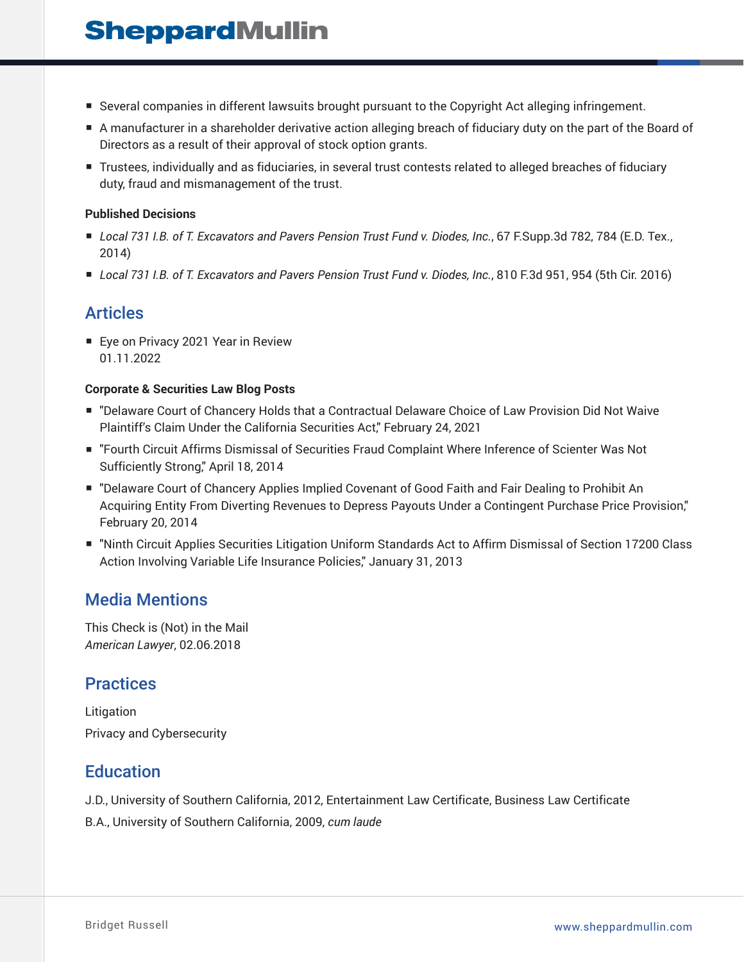## **SheppardMullin**

- Several companies in different lawsuits brought pursuant to the Copyright Act alleging infringement.
- A manufacturer in a shareholder derivative action alleging breach of fiduciary duty on the part of the Board of Directors as a result of their approval of stock option grants.
- Trustees, individually and as fiduciaries, in several trust contests related to alleged breaches of fiduciary duty, fraud and mismanagement of the trust.

#### **Published Decisions**

- *Local 731 I.B. of T. Excavators and Pavers Pension Trust Fund v. Diodes, Inc.*, 67 F.Supp.3d 782, 784 (E.D. Tex., 2014)
- *Local 731 I.B. of T. Excavators and Pavers Pension Trust Fund v. Diodes, Inc.*, 810 F.3d 951, 954 (5th Cir. 2016)

### Articles

■ Eye on Privacy 2021 Year in Review 01.11.2022

#### **Corporate & Securities Law Blog Posts**

- "Delaware Court of Chancery Holds that a Contractual Delaware Choice of Law Provision Did Not Waive Plaintiff's Claim Under the California Securities Act," February 24, 2021
- "Fourth Circuit Affirms Dismissal of Securities Fraud Complaint Where Inference of Scienter Was Not Sufficiently Strong," April 18, 2014
- "Delaware Court of Chancery Applies Implied Covenant of Good Faith and Fair Dealing to Prohibit An Acquiring Entity From Diverting Revenues to Depress Payouts Under a Contingent Purchase Price Provision," February 20, 2014
- "Ninth Circuit Applies Securities Litigation Uniform Standards Act to Affirm Dismissal of Section 17200 Class Action Involving Variable Life Insurance Policies," January 31, 2013

### Media Mentions

This Check is (Not) in the Mail *American Lawyer*, 02.06.2018

### **Practices**

Litigation Privacy and Cybersecurity

### **Education**

J.D., University of Southern California, 2012, Entertainment Law Certificate, Business Law Certificate

B.A., University of Southern California, 2009, *cum laude*